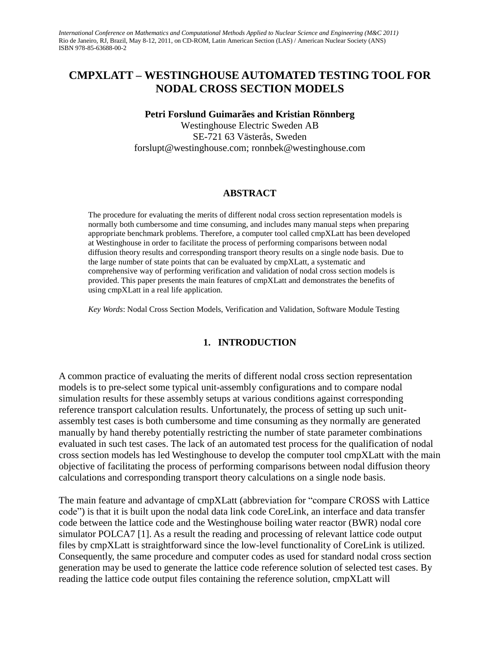*International Conference on Mathematics and Computational Methods Applied to Nuclear Science and Engineering (M&C 2011)* Rio de Janeiro, RJ, Brazil, May 8-12, 2011, on CD-ROM, Latin American Section (LAS) / American Nuclear Society (ANS) ISBN 978-85-63688-00-2

# **CMPXLATT – WESTINGHOUSE AUTOMATED TESTING TOOL FOR NODAL CROSS SECTION MODELS**

**Petri Forslund Guimarães and Kristian Rönnberg**

Westinghouse Electric Sweden AB SE-721 63 Västerås, Sweden forslupt@westinghouse.com; ronnbek@westinghouse.com

### **ABSTRACT**

The procedure for evaluating the merits of different nodal cross section representation models is normally both cumbersome and time consuming, and includes many manual steps when preparing appropriate benchmark problems. Therefore, a computer tool called cmpXLatt has been developed at Westinghouse in order to facilitate the process of performing comparisons between nodal diffusion theory results and corresponding transport theory results on a single node basis. Due to the large number of state points that can be evaluated by cmpXLatt, a systematic and comprehensive way of performing verification and validation of nodal cross section models is provided. This paper presents the main features of cmpXLatt and demonstrates the benefits of using cmpXLatt in a real life application.

*Key Words*: Nodal Cross Section Models, Verification and Validation, Software Module Testing

### **1. INTRODUCTION**

A common practice of evaluating the merits of different nodal cross section representation models is to pre-select some typical unit-assembly configurations and to compare nodal simulation results for these assembly setups at various conditions against corresponding reference transport calculation results. Unfortunately, the process of setting up such unitassembly test cases is both cumbersome and time consuming as they normally are generated manually by hand thereby potentially restricting the number of state parameter combinations evaluated in such test cases. The lack of an automated test process for the qualification of nodal cross section models has led Westinghouse to develop the computer tool cmpXLatt with the main objective of facilitating the process of performing comparisons between nodal diffusion theory calculations and corresponding transport theory calculations on a single node basis.

The main feature and advantage of cmpXLatt (abbreviation for "compare CROSS with Lattice code") is that it is built upon the nodal data link code CoreLink, an interface and data transfer code between the lattice code and the Westinghouse boiling water reactor (BWR) nodal core simulator POLCA7 [\[1\]](#page-12-0). As a result the reading and processing of relevant lattice code output files by cmpXLatt is straightforward since the low-level functionality of CoreLink is utilized. Consequently, the same procedure and computer codes as used for standard nodal cross section generation may be used to generate the lattice code reference solution of selected test cases. By reading the lattice code output files containing the reference solution, cmpXLatt will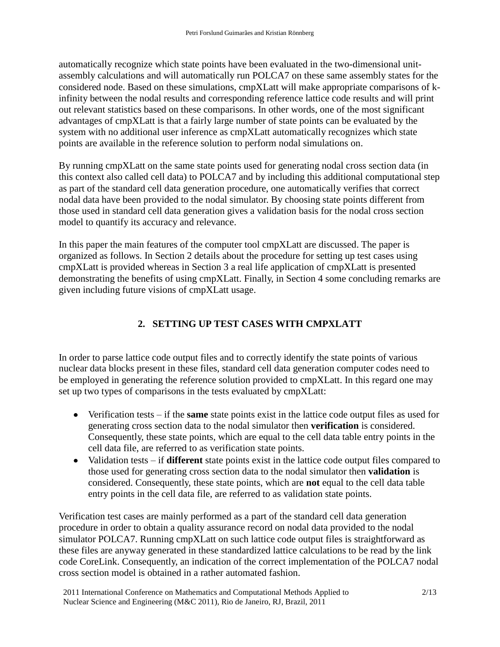automatically recognize which state points have been evaluated in the two-dimensional unitassembly calculations and will automatically run POLCA7 on these same assembly states for the considered node. Based on these simulations, cmpXLatt will make appropriate comparisons of kinfinity between the nodal results and corresponding reference lattice code results and will print out relevant statistics based on these comparisons. In other words, one of the most significant advantages of cmpXLatt is that a fairly large number of state points can be evaluated by the system with no additional user inference as cmpXLatt automatically recognizes which state points are available in the reference solution to perform nodal simulations on.

By running cmpXLatt on the same state points used for generating nodal cross section data (in this context also called cell data) to POLCA7 and by including this additional computational step as part of the standard cell data generation procedure, one automatically verifies that correct nodal data have been provided to the nodal simulator. By choosing state points different from those used in standard cell data generation gives a validation basis for the nodal cross section model to quantify its accuracy and relevance.

In this paper the main features of the computer tool cmpXLatt are discussed. The paper is organized as follows. In Section 2 details about the procedure for setting up test cases using cmpXLatt is provided whereas in Section 3 a real life application of cmpXLatt is presented demonstrating the benefits of using cmpXLatt. Finally, in Section 4 some concluding remarks are given including future visions of cmpXLatt usage.

# **2. SETTING UP TEST CASES WITH CMPXLATT**

In order to parse lattice code output files and to correctly identify the state points of various nuclear data blocks present in these files, standard cell data generation computer codes need to be employed in generating the reference solution provided to cmpXLatt. In this regard one may set up two types of comparisons in the tests evaluated by cmpXLatt:

- Verification tests if the **same** state points exist in the lattice code output files as used for generating cross section data to the nodal simulator then **verification** is considered. Consequently, these state points, which are equal to the cell data table entry points in the cell data file, are referred to as verification state points.
- Validation tests if **different** state points exist in the lattice code output files compared to those used for generating cross section data to the nodal simulator then **validation** is considered. Consequently, these state points, which are **not** equal to the cell data table entry points in the cell data file, are referred to as validation state points.

Verification test cases are mainly performed as a part of the standard cell data generation procedure in order to obtain a quality assurance record on nodal data provided to the nodal simulator POLCA7. Running cmpXLatt on such lattice code output files is straightforward as these files are anyway generated in these standardized lattice calculations to be read by the link code CoreLink. Consequently, an indication of the correct implementation of the POLCA7 nodal cross section model is obtained in a rather automated fashion.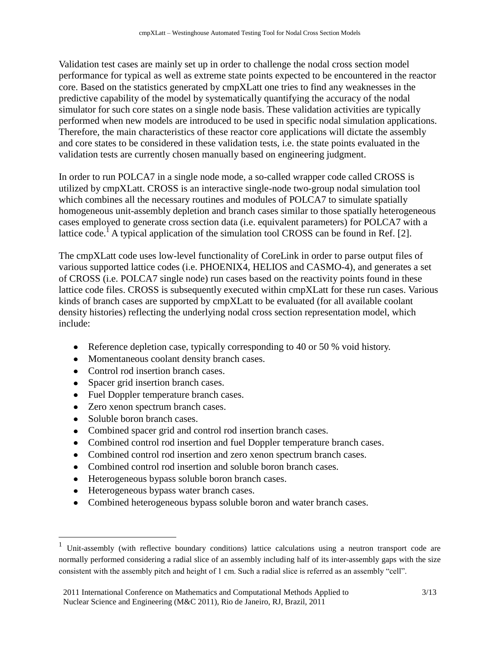Validation test cases are mainly set up in order to challenge the nodal cross section model performance for typical as well as extreme state points expected to be encountered in the reactor core. Based on the statistics generated by cmpXLatt one tries to find any weaknesses in the predictive capability of the model by systematically quantifying the accuracy of the nodal simulator for such core states on a single node basis. These validation activities are typically performed when new models are introduced to be used in specific nodal simulation applications. Therefore, the main characteristics of these reactor core applications will dictate the assembly and core states to be considered in these validation tests, i.e. the state points evaluated in the validation tests are currently chosen manually based on engineering judgment.

In order to run POLCA7 in a single node mode, a so-called wrapper code called CROSS is utilized by cmpXLatt. CROSS is an interactive single-node two-group nodal simulation tool which combines all the necessary routines and modules of POLCA7 to simulate spatially homogeneous unit-assembly depletion and branch cases similar to those spatially heterogeneous cases employed to generate cross section data (i.e. equivalent parameters) for POLCA7 with a lattice code.<sup>1</sup> A typical application of the simulation tool CROSS can be found in Ref. [\[2\]](#page-12-1).

The cmpXLatt code uses low-level functionality of CoreLink in order to parse output files of various supported lattice codes (i.e. PHOENIX4, HELIOS and CASMO-4), and generates a set of CROSS (i.e. POLCA7 single node) run cases based on the reactivity points found in these lattice code files. CROSS is subsequently executed within cmpXLatt for these run cases. Various kinds of branch cases are supported by cmpXLatt to be evaluated (for all available coolant density histories) reflecting the underlying nodal cross section representation model, which include:

- Reference depletion case, typically corresponding to 40 or 50 % void history.
- Momentaneous coolant density branch cases.
- Control rod insertion branch cases.
- Spacer grid insertion branch cases.
- Fuel Doppler temperature branch cases.
- Zero xenon spectrum branch cases.
- Soluble boron branch cases.

 $\overline{a}$ 

- Combined spacer grid and control rod insertion branch cases.
- Combined control rod insertion and fuel Doppler temperature branch cases.
- Combined control rod insertion and zero xenon spectrum branch cases.
- Combined control rod insertion and soluble boron branch cases.
- Heterogeneous bypass soluble boron branch cases.
- Heterogeneous bypass water branch cases.
- Combined heterogeneous bypass soluble boron and water branch cases.

<sup>1</sup> Unit-assembly (with reflective boundary conditions) lattice calculations using a neutron transport code are normally performed considering a radial slice of an assembly including half of its inter-assembly gaps with the size consistent with the assembly pitch and height of 1 cm. Such a radial slice is referred as an assembly "cell".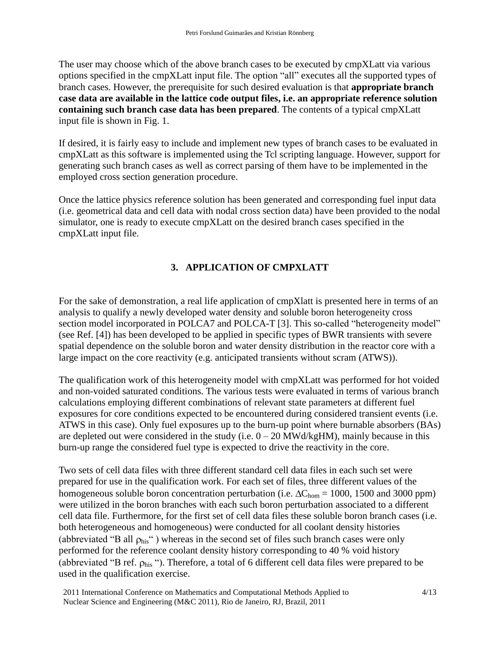The user may choose which of the above branch cases to be executed by cmpXLatt via various options specified in the cmpXLatt input file. The option "all" executes all the supported types of branch cases. However, the prerequisite for such desired evaluation is that **appropriate branch case data are available in the lattice code output files, i.e. an appropriate reference solution containing such branch case data has been prepared**. The contents of a typical cmpXLatt input file is shown in Fig. 1.

If desired, it is fairly easy to include and implement new types of branch cases to be evaluated in cmpXLatt as this software is implemented using the Tcl scripting language. However, support for generating such branch cases as well as correct parsing of them have to be implemented in the employed cross section generation procedure.

Once the lattice physics reference solution has been generated and corresponding fuel input data (i.e. geometrical data and cell data with nodal cross section data) have been provided to the nodal simulator, one is ready to execute cmpXLatt on the desired branch cases specified in the cmpXLatt input file.

# **3. APPLICATION OF CMPXLATT**

For the sake of demonstration, a real life application of cmpXlatt is presented here in terms of an analysis to qualify a newly developed water density and soluble boron heterogeneity cross section model incorporated in POLCA7 and POLCA-T [\[3\]](#page-12-2). This so-called "heterogeneity model" (see Ref. [\[4\]](#page-12-3)) has been developed to be applied in specific types of BWR transients with severe spatial dependence on the soluble boron and water density distribution in the reactor core with a large impact on the core reactivity (e.g. anticipated transients without scram (ATWS)).

The qualification work of this heterogeneity model with cmpXLatt was performed for hot voided and non-voided saturated conditions. The various tests were evaluated in terms of various branch calculations employing different combinations of relevant state parameters at different fuel exposures for core conditions expected to be encountered during considered transient events (i.e. ATWS in this case). Only fuel exposures up to the burn-up point where burnable absorbers (BAs) are depleted out were considered in the study (i.e.  $0 - 20$  MWd/kgHM), mainly because in this burn-up range the considered fuel type is expected to drive the reactivity in the core.

Two sets of cell data files with three different standard cell data files in each such set were prepared for use in the qualification work. For each set of files, three different values of the homogeneous soluble boron concentration perturbation (i.e.  $\Delta C_{\text{hom}} = 1000$ , 1500 and 3000 ppm) were utilized in the boron branches with each such boron perturbation associated to a different cell data file. Furthermore, for the first set of cell data files these soluble boron branch cases (i.e. both heterogeneous and homogeneous) were conducted for all coolant density histories (abbreviated "B all  $\rho_{\text{his}}$ ") whereas in the second set of files such branch cases were only performed for the reference coolant density history corresponding to 40 % void history (abbreviated "B ref.  $\rho_{\text{his}}$ "). Therefore, a total of 6 different cell data files were prepared to be used in the qualification exercise.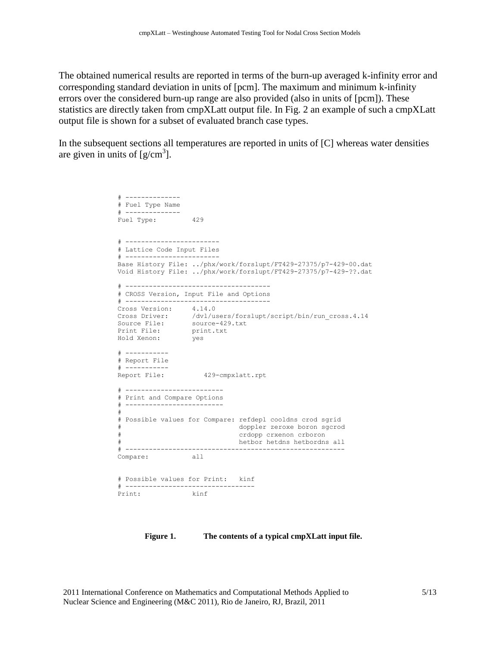The obtained numerical results are reported in terms of the burn-up averaged k-infinity error and corresponding standard deviation in units of [pcm]. The maximum and minimum k-infinity errors over the considered burn-up range are also provided (also in units of [pcm]). These statistics are directly taken from cmpXLatt output file. In Fig. 2 an example of such a cmpXLatt output file is shown for a subset of evaluated branch case types.

In the subsequent sections all temperatures are reported in units of [C] whereas water densities are given in units of  $[g/cm^3]$ .

```
\pm --------------
# Fuel Type Name
# --------------
Fuel Type: 429
# ------------------------
# Lattice Code Input Files
# ------------------------
Base History File: ../phx/work/forslupt/FT429-27375/p7-429-00.dat
Void History File: ../phx/work/forslupt/FT429-27375/p7-429-??.dat
# -------------------------------------
# CROSS Version, Input File and Options
# -------------------------------------
Cross Version: 4.14.0
Cross Driver: /dvl/users/forslupt/script/bin/run_cross.4.14
Source File: source-429.txt
Print File: print.txt
Hold Xenon: yes
# -----------
# Report File
# -----------
Report File: 429-cmpxlatt.rpt
# -------------------------
# Print and Compare Options
# -------------------------
#
# Possible values for Compare: refdepl cooldns crod sgrid
             doppler zeroxe boron sgcrod
                             crdopp crxenon crboron
                            hetbor hetdns hetbordns all
# --------------------------------------------------------
Compare: all
# Possible values for Print: kinf
# ----------------------------------<br>Print: kinf
Print:
```
**Figure 1. The contents of a typical cmpXLatt input file.**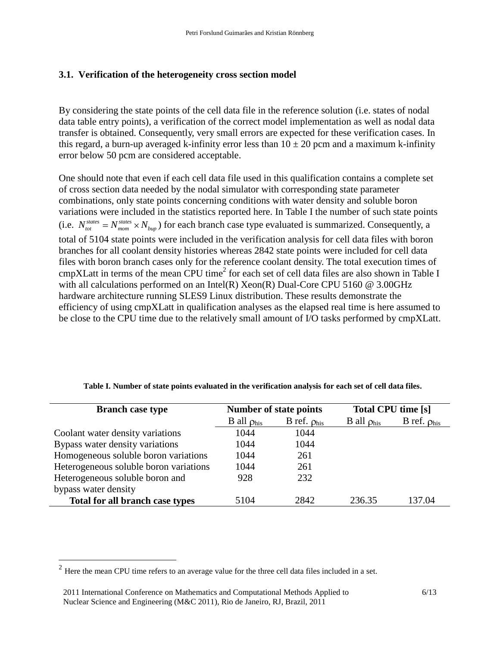# **3.1. Verification of the heterogeneity cross section model**

By considering the state points of the cell data file in the reference solution (i.e. states of nodal data table entry points), a verification of the correct model implementation as well as nodal data transfer is obtained. Consequently, very small errors are expected for these verification cases. In this regard, a burn-up averaged k-infinity error less than  $10 \pm 20$  pcm and a maximum k-infinity error below 50 pcm are considered acceptable.

One should note that even if each cell data file used in this qualification contains a complete set of cross section data needed by the nodal simulator with corresponding state parameter combinations, only state points concerning conditions with water density and soluble boron variations were included in the statistics reported here. In Table I the number of such state points (i.e.  $N_{tot}^{states} = N_{mom}^{states} \times N_{bup}$ ) for each branch case type evaluated is summarized. Consequently, a total of 5104 state points were included in the verification analysis for cell data files with boron branches for all coolant density histories whereas 2842 state points were included for cell data files with boron branch cases only for the reference coolant density. The total execution times of  $\text{cmp}$ XLatt in terms of the mean CPU time<sup>2</sup> for each set of cell data files are also shown in Table I with all calculations performed on an Intel(R) Xeon(R) Dual-Core CPU 5160 @ 3.00GHz hardware architecture running SLES9 Linux distribution. These results demonstrate the efficiency of using cmpXLatt in qualification analyses as the elapsed real time is here assumed to be close to the CPU time due to the relatively small amount of I/O tasks performed by cmpXLatt.

| <b>Branch case type</b>                |                           | <b>Number of state points</b> | <b>Total CPU time [s]</b> |                            |
|----------------------------------------|---------------------------|-------------------------------|---------------------------|----------------------------|
|                                        | B all $\rho_{\text{his}}$ | B ref. $\rho_{\text{his}}$    | B all $\rho_{\text{his}}$ | B ref. $\rho_{\text{his}}$ |
| Coolant water density variations       | 1044                      | 1044                          |                           |                            |
| Bypass water density variations        | 1044                      | 1044                          |                           |                            |
| Homogeneous soluble boron variations   | 1044                      | 261                           |                           |                            |
| Heterogeneous soluble boron variations | 1044                      | 261                           |                           |                            |
| Heterogeneous soluble boron and        | 928                       | 232                           |                           |                            |
| bypass water density                   |                           |                               |                           |                            |
| Total for all branch case types        | 5104                      | 2842                          | 236.35                    | 137.04                     |

**Table I. Number of state points evaluated in the verification analysis for each set of cell data files.**

 $\overline{a}$ 

 $2$  Here the mean CPU time refers to an average value for the three cell data files included in a set.

<sup>2011</sup> International Conference on Mathematics and Computational Methods Applied to Nuclear Science and Engineering (M&C 2011), Rio de Janeiro, RJ, Brazil, 2011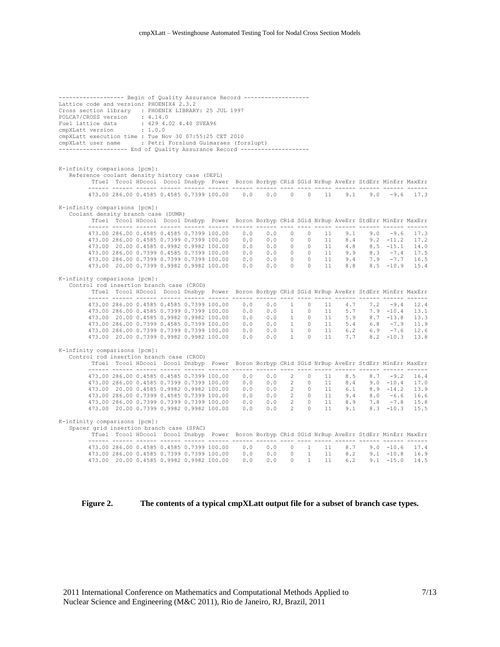| -----------------    Begin of Quality Assurance Record -----------------                                                                                                                                                                                                                                                                                                                                                       |  |  |                                                                                                                                                                                                                                                                                        |  |  |  |  |  |  |  |  |  |  |  |
|--------------------------------------------------------------------------------------------------------------------------------------------------------------------------------------------------------------------------------------------------------------------------------------------------------------------------------------------------------------------------------------------------------------------------------|--|--|----------------------------------------------------------------------------------------------------------------------------------------------------------------------------------------------------------------------------------------------------------------------------------------|--|--|--|--|--|--|--|--|--|--|--|
| Lattice code and version: PHOENIX4 2.3.2                                                                                                                                                                                                                                                                                                                                                                                       |  |  |                                                                                                                                                                                                                                                                                        |  |  |  |  |  |  |  |  |  |  |  |
| Cross section library : PHOENIX LIBRARY: 25 JUL 1997<br>POLCA7/CROSS version : 4.14.0                                                                                                                                                                                                                                                                                                                                          |  |  |                                                                                                                                                                                                                                                                                        |  |  |  |  |  |  |  |  |  |  |  |
|                                                                                                                                                                                                                                                                                                                                                                                                                                |  |  |                                                                                                                                                                                                                                                                                        |  |  |  |  |  |  |  |  |  |  |  |
| $\begin{tabular}{lllllllll} \texttt{Full lattice data} & : & 429 & 4.02 & 4.40 & \texttt{SVEA96} \\ \texttt{cmpXLatt version} & : & 1.0.0 & \end{tabular}$                                                                                                                                                                                                                                                                     |  |  |                                                                                                                                                                                                                                                                                        |  |  |  |  |  |  |  |  |  |  |  |
| cmpXLatt execution time : Tue Nov 30 07:55:25 CET 2010                                                                                                                                                                                                                                                                                                                                                                         |  |  |                                                                                                                                                                                                                                                                                        |  |  |  |  |  |  |  |  |  |  |  |
| cmpXLatt user name : Petri Forslund Guimaraes (forslupt)                                                                                                                                                                                                                                                                                                                                                                       |  |  |                                                                                                                                                                                                                                                                                        |  |  |  |  |  |  |  |  |  |  |  |
| ------------------- End of Quality Assurance Record -------------------                                                                                                                                                                                                                                                                                                                                                        |  |  |                                                                                                                                                                                                                                                                                        |  |  |  |  |  |  |  |  |  |  |  |
|                                                                                                                                                                                                                                                                                                                                                                                                                                |  |  |                                                                                                                                                                                                                                                                                        |  |  |  |  |  |  |  |  |  |  |  |
|                                                                                                                                                                                                                                                                                                                                                                                                                                |  |  |                                                                                                                                                                                                                                                                                        |  |  |  |  |  |  |  |  |  |  |  |
| K-infinity comparisons [pcm]:                                                                                                                                                                                                                                                                                                                                                                                                  |  |  |                                                                                                                                                                                                                                                                                        |  |  |  |  |  |  |  |  |  |  |  |
| Reference coolant density history case (DEPL)<br>Tfuel Tcool HDcool Dcool Dnsbyp Power Boron Borbyp CRid SGid NrBup AveErr StdErr MinErr MaxErr                                                                                                                                                                                                                                                                                |  |  |                                                                                                                                                                                                                                                                                        |  |  |  |  |  |  |  |  |  |  |  |
|                                                                                                                                                                                                                                                                                                                                                                                                                                |  |  |                                                                                                                                                                                                                                                                                        |  |  |  |  |  |  |  |  |  |  |  |
|                                                                                                                                                                                                                                                                                                                                                                                                                                |  |  | 473.00 286.00 0.4585 0.4585 0.7399 100.00 0.0 0.0 0.0 0 0 11 9.1 9.0 -9.6 17.3                                                                                                                                                                                                         |  |  |  |  |  |  |  |  |  |  |  |
| K-infinity comparisons [pcm]:                                                                                                                                                                                                                                                                                                                                                                                                  |  |  |                                                                                                                                                                                                                                                                                        |  |  |  |  |  |  |  |  |  |  |  |
|                                                                                                                                                                                                                                                                                                                                                                                                                                |  |  |                                                                                                                                                                                                                                                                                        |  |  |  |  |  |  |  |  |  |  |  |
| Coolant density branch case (DUMR)<br>Tfuel Tcool HDcool Dcool Dnsbyp Power Boron Borbyp CRid SGid NrBup AveErr StdErr MinErr MaxErr<br>$\begin{array}{cccccccccccc} 1973.00 & 286.00 & 0.4585 & 0.4585 & 0.7399 & 100.00 & 0.0 & 0.0 & 0.0 & 0 & 1 & 9.1 & 9.0 & -9.6 & 17.3 \\ 473.00 & 286.00 & 0.4585 & 0.4585 & 0.7399 & 100.00 & 0.0 & 0.0 & 0 & 0 & 0 & 11 & 8.4 & 9.2 & -11.2 & 17.2 \\ 473.00 & 20.00 & 0.4585 & 0.9$ |  |  |                                                                                                                                                                                                                                                                                        |  |  |  |  |  |  |  |  |  |  |  |
|                                                                                                                                                                                                                                                                                                                                                                                                                                |  |  |                                                                                                                                                                                                                                                                                        |  |  |  |  |  |  |  |  |  |  |  |
|                                                                                                                                                                                                                                                                                                                                                                                                                                |  |  |                                                                                                                                                                                                                                                                                        |  |  |  |  |  |  |  |  |  |  |  |
|                                                                                                                                                                                                                                                                                                                                                                                                                                |  |  |                                                                                                                                                                                                                                                                                        |  |  |  |  |  |  |  |  |  |  |  |
|                                                                                                                                                                                                                                                                                                                                                                                                                                |  |  |                                                                                                                                                                                                                                                                                        |  |  |  |  |  |  |  |  |  |  |  |
|                                                                                                                                                                                                                                                                                                                                                                                                                                |  |  |                                                                                                                                                                                                                                                                                        |  |  |  |  |  |  |  |  |  |  |  |
|                                                                                                                                                                                                                                                                                                                                                                                                                                |  |  |                                                                                                                                                                                                                                                                                        |  |  |  |  |  |  |  |  |  |  |  |
|                                                                                                                                                                                                                                                                                                                                                                                                                                |  |  |                                                                                                                                                                                                                                                                                        |  |  |  |  |  |  |  |  |  |  |  |
| K-infinity comparisons [pcm]:                                                                                                                                                                                                                                                                                                                                                                                                  |  |  |                                                                                                                                                                                                                                                                                        |  |  |  |  |  |  |  |  |  |  |  |
| Control rod insertion branch case (CROD)                                                                                                                                                                                                                                                                                                                                                                                       |  |  |                                                                                                                                                                                                                                                                                        |  |  |  |  |  |  |  |  |  |  |  |
|                                                                                                                                                                                                                                                                                                                                                                                                                                |  |  | Tfuel Tcool HDcool Dcool Dnsbyp Power Boron Borbyp CRid SGid NrBup AveErr StdErr MinErr MaxErr                                                                                                                                                                                         |  |  |  |  |  |  |  |  |  |  |  |
|                                                                                                                                                                                                                                                                                                                                                                                                                                |  |  | $473.00\ 286.00\ 0.4585\ 0.4585\ 0.7399\ 100.00\qquad 0.0\qquad 0.0\qquad 1\qquad 0\qquad 11\qquad 4.7\qquad 7.2\qquad -9.4\quad 12.4$                                                                                                                                                 |  |  |  |  |  |  |  |  |  |  |  |
|                                                                                                                                                                                                                                                                                                                                                                                                                                |  |  |                                                                                                                                                                                                                                                                                        |  |  |  |  |  |  |  |  |  |  |  |
|                                                                                                                                                                                                                                                                                                                                                                                                                                |  |  |                                                                                                                                                                                                                                                                                        |  |  |  |  |  |  |  |  |  |  |  |
|                                                                                                                                                                                                                                                                                                                                                                                                                                |  |  |                                                                                                                                                                                                                                                                                        |  |  |  |  |  |  |  |  |  |  |  |
|                                                                                                                                                                                                                                                                                                                                                                                                                                |  |  |                                                                                                                                                                                                                                                                                        |  |  |  |  |  |  |  |  |  |  |  |
|                                                                                                                                                                                                                                                                                                                                                                                                                                |  |  | $\begin{array}{cccccccccccc} 173.00 & 286.00 & 0.4585 & 0.7399 & 0.7399 & 100.00 & 0.0 & 0.0 & 1 & 0 & 11 & 4.7 & 7.9 & -10.4 & 12.4 \\ 473.00 & 286.00 & 0.4585 & 0.7399 & 0.7399 & 100.00 & 0.0 & 0.0 & 1 & 0 & 11 & 5.7 & 7.9 & -10.4 & 13.1 \\ 473.00 & 20.00 & 0.4585 & 0.9982 &$ |  |  |  |  |  |  |  |  |  |  |  |
| K-infinity comparisons [pcm]:                                                                                                                                                                                                                                                                                                                                                                                                  |  |  |                                                                                                                                                                                                                                                                                        |  |  |  |  |  |  |  |  |  |  |  |
| Control rod insertion branch case (CROD)                                                                                                                                                                                                                                                                                                                                                                                       |  |  |                                                                                                                                                                                                                                                                                        |  |  |  |  |  |  |  |  |  |  |  |
|                                                                                                                                                                                                                                                                                                                                                                                                                                |  |  | Tfuel Tcool HDcool Dcool Dnsbyp Power Boron Borbyp CRid SGid NrBup AveErr StdErr MinErr MaxErr                                                                                                                                                                                         |  |  |  |  |  |  |  |  |  |  |  |
|                                                                                                                                                                                                                                                                                                                                                                                                                                |  |  |                                                                                                                                                                                                                                                                                        |  |  |  |  |  |  |  |  |  |  |  |
|                                                                                                                                                                                                                                                                                                                                                                                                                                |  |  |                                                                                                                                                                                                                                                                                        |  |  |  |  |  |  |  |  |  |  |  |
|                                                                                                                                                                                                                                                                                                                                                                                                                                |  |  |                                                                                                                                                                                                                                                                                        |  |  |  |  |  |  |  |  |  |  |  |
|                                                                                                                                                                                                                                                                                                                                                                                                                                |  |  |                                                                                                                                                                                                                                                                                        |  |  |  |  |  |  |  |  |  |  |  |
|                                                                                                                                                                                                                                                                                                                                                                                                                                |  |  |                                                                                                                                                                                                                                                                                        |  |  |  |  |  |  |  |  |  |  |  |
|                                                                                                                                                                                                                                                                                                                                                                                                                                |  |  | $\begin{array}{cccccccccccc} 473.00 & 286.00 & 0.4585 & 0.4585 & 0.7399 & 100.00 & 0.0 & 0.0 & 2 & 0 & 11 & 8.5 & 8.7 & -9.2 & 16.4 \\ 473.00 & 286.00 & 0.4585 & 0.7399 & 0.7399 & 100.00 & 0.0 & 0.0 & 2 & 0 & 11 & 8.4 & 9.0 & -10.4 & 17.0 \\ 473.00 & 20.00 & 0.4585 & 0.9982 & $ |  |  |  |  |  |  |  |  |  |  |  |
| K-infinity comparisons [pcm]:                                                                                                                                                                                                                                                                                                                                                                                                  |  |  |                                                                                                                                                                                                                                                                                        |  |  |  |  |  |  |  |  |  |  |  |
| Spacer grid insertion branch case (SPAC)                                                                                                                                                                                                                                                                                                                                                                                       |  |  |                                                                                                                                                                                                                                                                                        |  |  |  |  |  |  |  |  |  |  |  |
|                                                                                                                                                                                                                                                                                                                                                                                                                                |  |  | Tfuel Tcool HDcool Dcool Dnsbyp Power Boron Borbyp CRid SGid NrBup AveErr StdErr MinErr MaxErr                                                                                                                                                                                         |  |  |  |  |  |  |  |  |  |  |  |
|                                                                                                                                                                                                                                                                                                                                                                                                                                |  |  |                                                                                                                                                                                                                                                                                        |  |  |  |  |  |  |  |  |  |  |  |
|                                                                                                                                                                                                                                                                                                                                                                                                                                |  |  | $\begin{array}{cccccccc} 473.00 & 286.00 & 0.4585 & 0.4585 & 0.7399 & 100.00 & 0.0 & 0.0 & 0 & 1 & 11 & 8.7 & 9.0 & -10.6 & 17.4 \\ 473.00 & 286.00 & 0.4585 & 0.7399 & 0.7399 & 100.00 & 0.0 & 0.0 & 0 & 0 & 1 & 11 & 8.2 & 9.1 & -10.8 & 16.9 \\ 473.00 & 20.00 & 0.4585 & 0.998$    |  |  |  |  |  |  |  |  |  |  |  |
|                                                                                                                                                                                                                                                                                                                                                                                                                                |  |  |                                                                                                                                                                                                                                                                                        |  |  |  |  |  |  |  |  |  |  |  |
|                                                                                                                                                                                                                                                                                                                                                                                                                                |  |  |                                                                                                                                                                                                                                                                                        |  |  |  |  |  |  |  |  |  |  |  |

**Figure 2. The contents of a typical cmpXLatt output file for a subset of branch case types.**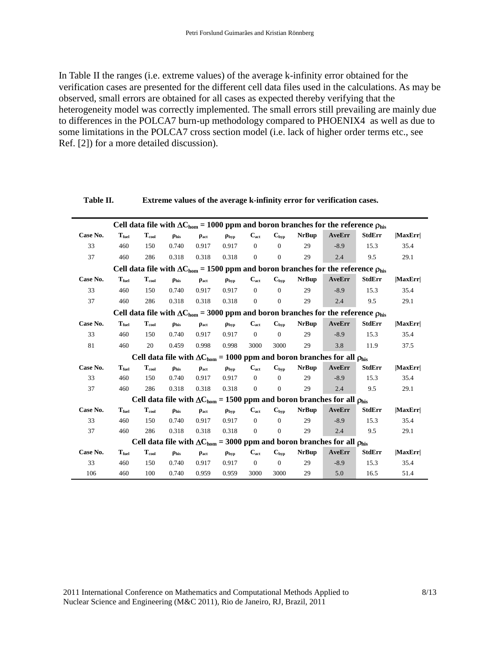In Table II the ranges (i.e. extreme values) of the average k-infinity error obtained for the verification cases are presented for the different cell data files used in the calculations. As may be observed, small errors are obtained for all cases as expected thereby verifying that the heterogeneity model was correctly implemented. The small errors still prevailing are mainly due to differences in the POLCA7 burn-up methodology compared to PHOENIX4 as well as due to some limitations in the POLCA7 cross section model (i.e. lack of higher order terms etc., see Ref. [\[2\]](#page-12-1)) for a more detailed discussion).

|          |                   |                            |                  |                  |                   |                |                           |              | Cell data file with $\Delta C_{\text{hom}}$ = 1000 ppm and boron branches for the reference $\rho_{\text{his}}$ |               |        |
|----------|-------------------|----------------------------|------------------|------------------|-------------------|----------------|---------------------------|--------------|-----------------------------------------------------------------------------------------------------------------|---------------|--------|
| Case No. | $T_{\rm fuel}$    | $\mathbf{T}_{\text{cool}}$ | $\rho_{\rm his}$ | $\rho_{act}$     | $\rho_{\rm bvp}$  | $C_{act}$      | $C_{\text{hyp}}$          | <b>NrBup</b> | AveErr                                                                                                          | <b>StdErr</b> | MaxErr |
| 33       | 460               | 150                        | 0.740            | 0.917            | 0.917             | $\overline{0}$ | $\theta$                  | 29           | $-8.9$                                                                                                          | 15.3          | 35.4   |
| 37       | 460               | 286                        | 0.318            | 0.318            | 0.318             | $\overline{0}$ | $\mathbf{0}$              | 29           | 2.4                                                                                                             | 9.5           | 29.1   |
|          |                   |                            |                  |                  |                   |                |                           |              | Cell data file with $\Delta C_{\text{hom}}$ = 1500 ppm and boron branches for the reference $\rho_{\text{his}}$ |               |        |
| Case No. | $T_{\text{fuel}}$ | $\mathbf{T}_{\text{cool}}$ | $\rho_{\rm his}$ | $\rho_{act}$     | $\rho_{\rm bvp}$  | $C_{act}$      | $C_{\text{hyp}}$          | <b>NrBup</b> | AveErr                                                                                                          | <b>StdErr</b> | MaxErr |
| 33       | 460               | 150                        | 0.740            | 0.917            | 0.917             | $\mathbf{0}$   | $\theta$                  | 29           | $-8.9$                                                                                                          | 15.3          | 35.4   |
| 37       | 460               | 286                        | 0.318            | 0.318            | 0.318             | $\overline{0}$ | $\mathbf{0}$              | 29           | 2.4                                                                                                             | 9.5           | 29.1   |
|          |                   |                            |                  |                  |                   |                |                           |              | Cell data file with $\Delta C_{\text{hom}}$ = 3000 ppm and boron branches for the reference $\rho_{\text{his}}$ |               |        |
| Case No. | $T_{\text{fuel}}$ | $\mathbf{T}_{\text{cool}}$ | $\rho_{\rm his}$ | $\rho_{act}$     | $\rho_{\rm bvp}$  | $C_{act}$      | $C_{\text{hyp}}$          | <b>NrBup</b> | AveErr                                                                                                          | <b>StdErr</b> | MaxErr |
| 33       | 460               | 150                        | 0.740            | 0.917            | 0.917             | $\mathbf{0}$   | $\overline{0}$            | 29           | $-8.9$                                                                                                          | 15.3          | 35.4   |
| 81       | 460               | 20                         | 0.459            | 0.998            | 0.998             | 3000           | 3000                      | 29           | 3.8                                                                                                             | 11.9          | 37.5   |
|          |                   |                            |                  |                  |                   |                |                           |              | Cell data file with $\Delta C_{\text{hom}}$ = 1000 ppm and boron branches for all $\rho_{\text{his}}$           |               |        |
| Case No. | $T_{\text{fuel}}$ | $T_{cool}$                 | $\rho_{\rm his}$ | $\rho_{\rm act}$ | $\rho_{\rm bvp}$  | $C_{act}$      | $C_{\text{hyp}}$          | <b>NrBup</b> | AveErr                                                                                                          | <b>StdErr</b> | MaxErr |
| 33       | 460               | 150                        | 0.740            | 0.917            | 0.917             | $\overline{0}$ | $\theta$                  | 29           | $-8.9$                                                                                                          | 15.3          | 35.4   |
| 37       | 460               | 286                        | 0.318            | 0.318            | 0.318             | $\overline{0}$ | $\mathbf{0}$              | 29           | 2.4                                                                                                             | 9.5           | 29.1   |
|          |                   |                            |                  |                  |                   |                |                           |              | Cell data file with $\Delta C_{\text{hom}}$ = 1500 ppm and boron branches for all $\rho_{\text{his}}$           |               |        |
| Case No. | $T_{\text{fuel}}$ | $T_{cool}$                 | $\rho_{\rm his}$ | $\rho_{\rm act}$ | $\rho_{\rm bvp}$  | $C_{act}$      | $\mathbf{C}_{\text{hyp}}$ | <b>NrBup</b> | AveErr                                                                                                          | <b>StdErr</b> | MaxErr |
| 33       | 460               | 150                        | 0.740            | 0.917            | 0.917             | $\mathbf{0}$   | $\theta$                  | 29           | $-8.9$                                                                                                          | 15.3          | 35.4   |
| 37       | 460               | 286                        | 0.318            | 0.318            | 0.318             | $\mathbf{0}$   | $\boldsymbol{0}$          | 29           | 2.4                                                                                                             | 9.5           | 29.1   |
|          |                   |                            |                  |                  |                   |                |                           |              | Cell data file with $\Delta C_{\text{hom}}$ = 3000 ppm and boron branches for all $\rho_{\text{his}}$           |               |        |
| Case No. | $T_{\text{fuel}}$ | $T_{cool}$                 | $\rho_{\rm his}$ | $\rho_{\rm act}$ | $\rho_{\rm{hyp}}$ | $C_{act}$      | $C_{\text{hyp}}$          | <b>NrBup</b> | AveErr                                                                                                          | <b>StdErr</b> | MaxErr |
| 33       | 460               | 150                        | 0.740            | 0.917            | 0.917             | $\mathbf{0}$   | $\theta$                  | 29           | $-8.9$                                                                                                          | 15.3          | 35.4   |
| 106      | 460               | 100                        | 0.740            | 0.959            | 0.959             | 3000           | 3000                      | 29           | 5.0                                                                                                             | 16.5          | 51.4   |

#### **Table II. Extreme values of the average k-infinity error for verification cases.**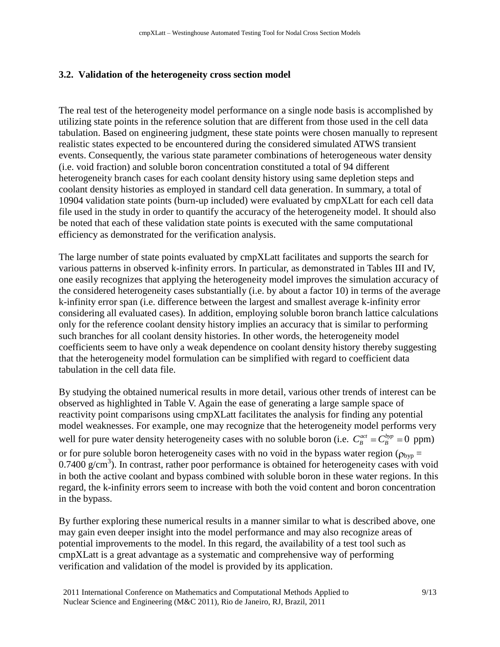## **3.2. Validation of the heterogeneity cross section model**

The real test of the heterogeneity model performance on a single node basis is accomplished by utilizing state points in the reference solution that are different from those used in the cell data tabulation. Based on engineering judgment, these state points were chosen manually to represent realistic states expected to be encountered during the considered simulated ATWS transient events. Consequently, the various state parameter combinations of heterogeneous water density (i.e. void fraction) and soluble boron concentration constituted a total of 94 different heterogeneity branch cases for each coolant density history using same depletion steps and coolant density histories as employed in standard cell data generation. In summary, a total of 10904 validation state points (burn-up included) were evaluated by cmpXLatt for each cell data file used in the study in order to quantify the accuracy of the heterogeneity model. It should also be noted that each of these validation state points is executed with the same computational efficiency as demonstrated for the verification analysis.

The large number of state points evaluated by cmpXLatt facilitates and supports the search for various patterns in observed k-infinity errors. In particular, as demonstrated in Tables III and IV, one easily recognizes that applying the heterogeneity model improves the simulation accuracy of the considered heterogeneity cases substantially (i.e. by about a factor 10) in terms of the average k-infinity error span (i.e. difference between the largest and smallest average k-infinity error considering all evaluated cases). In addition, employing soluble boron branch lattice calculations only for the reference coolant density history implies an accuracy that is similar to performing such branches for all coolant density histories. In other words, the heterogeneity model coefficients seem to have only a weak dependence on coolant density history thereby suggesting that the heterogeneity model formulation can be simplified with regard to coefficient data tabulation in the cell data file.

By studying the obtained numerical results in more detail, various other trends of interest can be observed as highlighted in Table V. Again the ease of generating a large sample space of reactivity point comparisons using cmpXLatt facilitates the analysis for finding any potential model weaknesses. For example, one may recognize that the heterogeneity model performs very well for pure water density heterogeneity cases with no soluble boron (i.e.  $C_B^{act} = C_B^{byp} = 0$  ppm) or for pure soluble boron heterogeneity cases with no void in the bypass water region ( $\rho_{\text{bvp}} =$  $0.7400 \text{ g/cm}^3$ ). In contrast, rather poor performance is obtained for heterogeneity cases with void in both the active coolant and bypass combined with soluble boron in these water regions. In this regard, the k-infinity errors seem to increase with both the void content and boron concentration in the bypass.

By further exploring these numerical results in a manner similar to what is described above, one may gain even deeper insight into the model performance and may also recognize areas of potential improvements to the model. In this regard, the availability of a test tool such as cmpXLatt is a great advantage as a systematic and comprehensive way of performing verification and validation of the model is provided by its application.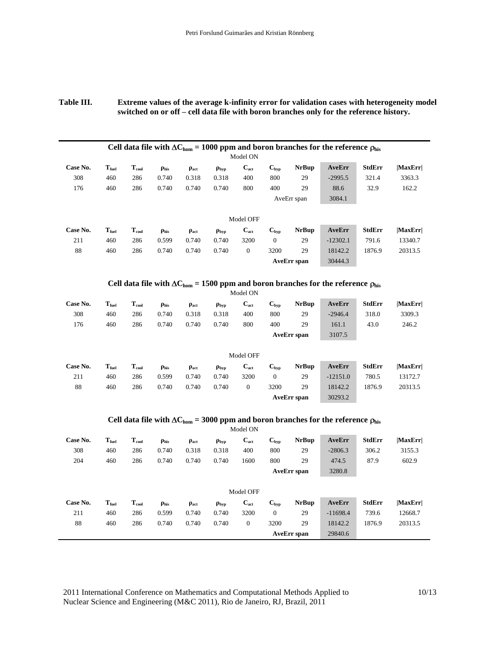#### **Table III. Extreme values of the average k-infinity error for validation cases with heterogeneity model switched on or off – cell data file with boron branches only for the reference history.**

|          |                   |                            |                  |              |                   |              |                  |                    | Cell data file with $\Delta C_{\text{hom}}$ = 1000 ppm and boron branches for the reference $\rho_{\text{his}}$ |               |               |
|----------|-------------------|----------------------------|------------------|--------------|-------------------|--------------|------------------|--------------------|-----------------------------------------------------------------------------------------------------------------|---------------|---------------|
|          |                   |                            |                  |              |                   | Model ON     |                  |                    |                                                                                                                 |               |               |
| Case No. | $T_{\text{fuel}}$ | $T_{cool}$                 | $\rho_{\rm his}$ | $\rho_{act}$ | $\rho_{\rm{typ}}$ | $C_{act}$    | $C_{\text{hyp}}$ | <b>NrBup</b>       | AveErr                                                                                                          | <b>StdErr</b> | MaxErr        |
| 308      | 460               | 286                        | 0.740            | 0.318        | 0.318             | 400          | 800              | 29                 | $-2995.5$                                                                                                       | 321.4         | 3363.3        |
| 176      | 460               | 286                        | 0.740            | 0.740        | 0.740             | 800          | 400              | 29                 | 88.6                                                                                                            | 32.9          | 162.2         |
|          |                   |                            |                  |              |                   |              |                  | AveErr span        | 3084.1                                                                                                          |               |               |
|          |                   |                            |                  |              |                   |              |                  |                    |                                                                                                                 |               |               |
|          |                   |                            |                  |              |                   | Model OFF    |                  |                    |                                                                                                                 |               |               |
| Case No. | $T_{\text{fuel}}$ | $\mathbf{T}_{\text{cool}}$ | $\rho_{\rm his}$ | $\rho_{act}$ | $\rho_{\rm{typ}}$ | $C_{act}$    | $C_{\text{hyp}}$ | <b>NrBup</b>       | AveErr                                                                                                          | <b>StdErr</b> | MaxErr        |
| 211      | 460               | 286                        | 0.599            | 0.740        | 0.740             | 3200         | $\mathbf{0}$     | 29                 | $-12302.1$                                                                                                      | 791.6         | 13340.7       |
| 88       | 460               | 286                        | 0.740            | 0.740        | 0.740             | $\mathbf{0}$ | 3200             | 29                 | 18142.2                                                                                                         | 1876.9        | 20313.5       |
|          |                   |                            |                  |              |                   |              |                  | <b>AveErr</b> span | 30444.3                                                                                                         |               |               |
|          |                   |                            |                  |              |                   |              |                  |                    |                                                                                                                 |               |               |
|          |                   |                            |                  |              |                   |              |                  |                    | Cell data file with $\Delta C_{\text{hom}}$ = 1500 ppm and boron branches for the reference $\rho_{\text{his}}$ |               |               |
|          |                   |                            |                  |              |                   | Model ON     |                  |                    |                                                                                                                 |               |               |
| Case No. | $T_{\text{fuel}}$ | $T_{cool}$                 | $\rho_{\rm his}$ | $\rho_{act}$ | $\rho_{\rm{typ}}$ | $C_{act}$    | $C_{\text{hyp}}$ | <b>NrBup</b>       | AveErr                                                                                                          | <b>StdErr</b> | <b>MaxErr</b> |
| 308      | 460               | 286                        | 0.740            | 0.318        | 0.318             | 400          | 800              | 29                 | $-2946.4$                                                                                                       | 318.0         | 3309.3        |
| 176      | 460               | 286                        | 0.740            | 0.740        | 0.740             | 800          | 400              | 29                 | 161.1                                                                                                           | 43.0          | 246.2         |

| Model OFF |                   |            |                  |              |                   |                |               |              |            |               |         |  |
|-----------|-------------------|------------|------------------|--------------|-------------------|----------------|---------------|--------------|------------|---------------|---------|--|
| Case No.  | $T_{\text{fuel}}$ | $T_{cool}$ | $\rho_{\rm his}$ | $\rho_{act}$ | $\rho_{\rm{hyp}}$ | $C_{act}$      | $C_{\rm bvp}$ | <b>NrBup</b> | AveErr     | <b>StdErr</b> | MaxErr  |  |
| 211       | 460               | 286        | 0.599            | 0.740        | 0.740             | 3200           |               | 29           | $-12151.0$ | 780.5         | 13172.7 |  |
| 88        | 460               | 286        | 0.740            | 0.740        | 0.740             | $\overline{0}$ | 3200          | 29           | 18142.2    | 1876.9        | 20313.5 |  |
|           |                   |            |                  |              |                   |                |               | AveErr span  | 30293.2    |               |         |  |

**AveErr span** 3107.5

### Cell data file with  $\Delta C_{\text{hom}} = 3000$  ppm and boron branches for the reference  $\rho_{\text{his}}$

|          |                   |                            |                  |              |                   | Model ON         |                  |                    |            |               |         |
|----------|-------------------|----------------------------|------------------|--------------|-------------------|------------------|------------------|--------------------|------------|---------------|---------|
| Case No. | $T_{\text{fuel}}$ | $T_{cool}$                 | $\rho_{\rm his}$ | $\rho_{act}$ | $\rho_{\rm{hyp}}$ | $C_{act}$        | $C_{\text{hyp}}$ | <b>NrBup</b>       | AveErr     | <b>StdErr</b> | MaxErr  |
| 308      | 460               | 286                        | 0.740            | 0.318        | 0.318             | 400              | 800              | 29                 | $-2806.3$  | 306.2         | 3155.3  |
| 204      | 460               | 286                        | 0.740            | 0.740        | 0.740             | 1600             | 800              | 29                 | 474.5      | 87.9          | 602.9   |
|          |                   |                            |                  |              |                   |                  |                  | <b>AveErr</b> span | 3280.8     |               |         |
|          |                   |                            |                  |              |                   |                  |                  |                    |            |               |         |
|          |                   |                            |                  |              |                   | Model OFF        |                  |                    |            |               |         |
| Case No. | $T_{\text{fuel}}$ | $\mathbf{T}_{\text{cool}}$ | $\rho_{\rm his}$ | $\rho_{act}$ | $\rho_{\rm{typ}}$ | $C_{act}$        | $C_{\text{hyp}}$ | <b>NrBup</b>       | AveErr     | <b>StdErr</b> | MaxErr  |
| 211      | 460               | 286                        | 0.599            | 0.740        | 0.740             | 3200             | $\overline{0}$   | 29                 | $-11698.4$ | 739.6         | 12668.7 |
| 88       | 460               | 286                        | 0.740            | 0.740        | 0.740             | $\boldsymbol{0}$ | 3200             | 29                 | 18142.2    | 1876.9        | 20313.5 |
|          |                   |                            |                  |              |                   |                  |                  | <b>AveErr</b> span | 29840.6    |               |         |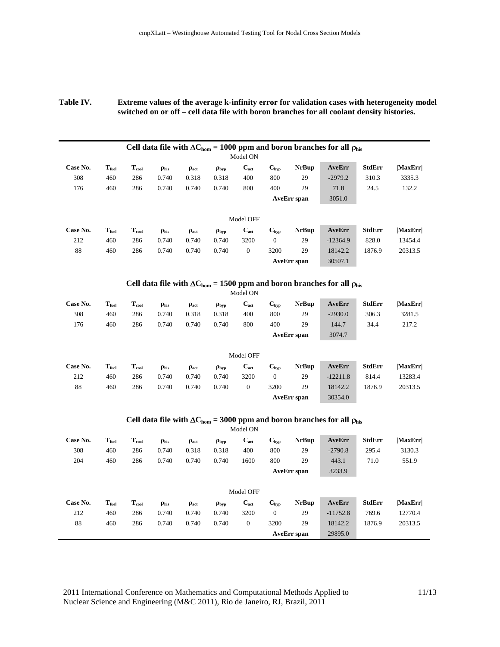#### **Table IV. Extreme values of the average k-infinity error for validation cases with heterogeneity model switched on or off – cell data file with boron branches for all coolant density histories.**

|          |                   |            |                  |              |                   |           |                  |                    | Cell data file with $\Delta C_{\text{hom}} = 1000$ ppm and boron branches for all $\rho_{\text{his}}$ |               |         |  |  |  |  |
|----------|-------------------|------------|------------------|--------------|-------------------|-----------|------------------|--------------------|-------------------------------------------------------------------------------------------------------|---------------|---------|--|--|--|--|
|          | Model ON          |            |                  |              |                   |           |                  |                    |                                                                                                       |               |         |  |  |  |  |
| Case No. | $T_{\text{fuel}}$ | $T_{cool}$ | $\rho_{\rm his}$ | $\rho_{act}$ | $\rho_{\rm{typ}}$ | $C_{act}$ | $C_{\text{hyp}}$ | <b>NrBup</b>       | AveErr                                                                                                | <b>StdErr</b> | MaxErr  |  |  |  |  |
| 308      | 460               | 286        | 0.740            | 0.318        | 0.318             | 400       | 800              | 29                 | $-2979.2$                                                                                             | 310.3         | 3335.3  |  |  |  |  |
| 176      | 460               | 286        | 0.740            | 0.740        | 0.740             | 800       | 400              | 29                 | 71.8                                                                                                  | 24.5          | 132.2   |  |  |  |  |
|          |                   |            |                  |              |                   |           |                  | <b>AveErr</b> span | 3051.0                                                                                                |               |         |  |  |  |  |
|          |                   |            |                  |              |                   |           |                  |                    |                                                                                                       |               |         |  |  |  |  |
|          |                   |            |                  |              |                   | Model OFF |                  |                    |                                                                                                       |               |         |  |  |  |  |
| Case No. | $T_{\text{fuel}}$ | $T_{cool}$ | $\rho_{\rm his}$ | $\rho_{act}$ | $\rho_{\rm{typ}}$ | $C_{act}$ | $C_{\rm bvp}$    | <b>NrBup</b>       | AveErr                                                                                                | StdErr        | MaxErr  |  |  |  |  |
| 212      | 460               | 286        | 0.740            | 0.740        | 0.740             | 3200      | $\overline{0}$   | 29                 | $-12364.9$                                                                                            | 828.0         | 13454.4 |  |  |  |  |
| 88       | 460               | 286        | 0.740            | 0.740        | 0.740             | $\theta$  | 3200             | 29                 | 18142.2                                                                                               | 1876.9        | 20313.5 |  |  |  |  |
|          |                   |            |                  |              |                   |           |                  | <b>AveErr</b> span | 30507.1                                                                                               |               |         |  |  |  |  |

#### Cell data file with  $\Delta C_{\text{hom}} = 1500$  ppm and boron branches for all  $\rho_{\text{his}}$

|          |                   |            |                  |                  |                   | Model ON  |                  |                    |            |               |         |
|----------|-------------------|------------|------------------|------------------|-------------------|-----------|------------------|--------------------|------------|---------------|---------|
| Case No. | $T_{\rm fuel}$    | $T_{cool}$ | $\rho_{\rm his}$ | $\rho_{\rm act}$ | $\rho_{\rm{typ}}$ | $C_{act}$ | $C_{\text{hyp}}$ | <b>NrBup</b>       | AveErr     | <b>StdErr</b> | MaxErr  |
| 308      | 460               | 286        | 0.740            | 0.318            | 0.318             | 400       | 800              | 29                 | $-2930.0$  | 306.3         | 3281.5  |
| 176      | 460               | 286        | 0.740            | 0.740            | 0.740             | 800       | 400              | 29                 | 144.7      | 34.4          | 217.2   |
|          |                   |            |                  |                  |                   |           |                  | <b>AveErr</b> span | 3074.7     |               |         |
|          |                   |            |                  |                  |                   | Model OFF |                  |                    |            |               |         |
| Case No. | $T_{\text{fuel}}$ | $T_{cool}$ | $\rho_{\rm his}$ | $\rho_{\rm act}$ | $\rho_{\rm{typ}}$ | $C_{act}$ | $C_{\text{hyp}}$ | <b>NrBup</b>       | AveErr     | <b>StdErr</b> | MaxErr  |
| 212      | 460               | 286        | 0.740            | 0.740            | 0.740             | 3200      | $\overline{0}$   | 29                 | $-12211.8$ | 814.4         | 13283.4 |
| 88       | 460               | 286        | 0.740            | 0.740            | 0.740             | 0         | 3200             | 29                 | 18142.2    | 1876.9        | 20313.5 |
|          |                   |            |                  |                  |                   |           |                  | <b>AveErr</b> span | 30354.0    |               |         |

### Cell data file with  $\Delta C_{\text{hom}} = 3000$  ppm and boron branches for all  $\rho_{\text{his}}$

|          |                   |            |                  |              |                   | Model ON     |                  |                    |            |               |         |
|----------|-------------------|------------|------------------|--------------|-------------------|--------------|------------------|--------------------|------------|---------------|---------|
| Case No. | $T_{\text{fuel}}$ | $T_{cool}$ | $\rho_{\rm his}$ | $\rho_{act}$ | $\rho_{\rm{typ}}$ | $C_{act}$    | $C_{\text{hyp}}$ | <b>NrBup</b>       | AveErr     | <b>StdErr</b> | MaxErr  |
| 308      | 460               | 286        | 0.740            | 0.318        | 0.318             | 400          | 800              | 29                 | $-2790.8$  | 295.4         | 3130.3  |
| 204      | 460               | 286        | 0.740            | 0.740        | 0.740             | 1600         | 800              | 29                 | 443.1      | 71.0          | 551.9   |
|          |                   |            |                  |              |                   |              |                  | <b>AveErr</b> span | 3233.9     |               |         |
|          |                   |            |                  |              |                   |              |                  |                    |            |               |         |
|          |                   |            |                  |              |                   | Model OFF    |                  |                    |            |               |         |
| Case No. | $T_{\text{fuel}}$ | $T_{cool}$ | $\rho_{\rm his}$ | $\rho_{act}$ | $\rho_{\rm{typ}}$ | $C_{act}$    | $C_{\text{hyp}}$ | <b>NrBup</b>       | AveErr     | <b>StdErr</b> | MaxErr  |
| 212      | 460               | 286        | 0.740            | 0.740        | 0.740             | 3200         | $\overline{0}$   | 29                 | $-11752.8$ | 769.6         | 12770.4 |
| 88       | 460               | 286        | 0.740            | 0.740        | 0.740             | $\mathbf{0}$ | 3200             | 29                 | 18142.2    | 1876.9        | 20313.5 |
|          |                   |            |                  |              |                   |              |                  | <b>AveErr</b> span | 29895.0    |               |         |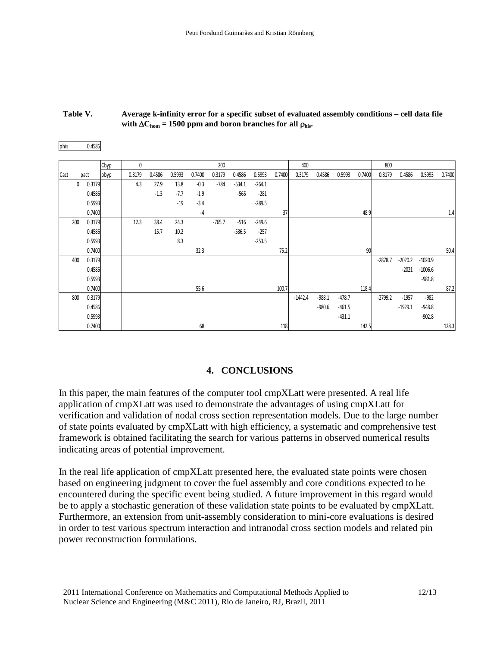| Table V. | Average k-infinity error for a specific subset of evaluated assembly conditions – cell data file |
|----------|--------------------------------------------------------------------------------------------------|
|          | with $\Delta C_{\text{hom}}$ = 1500 ppm and boron branches for all $\rho_{\text{his}}$ .         |

| phis | 0.4586           |      |                                                                                                                                                                                                                                                                                                                                                                                                                                                                                                                                                                                                                                                    |        |        |              |          |          |          |        |           |          |          |        |           |                      |                        |        |
|------|------------------|------|----------------------------------------------------------------------------------------------------------------------------------------------------------------------------------------------------------------------------------------------------------------------------------------------------------------------------------------------------------------------------------------------------------------------------------------------------------------------------------------------------------------------------------------------------------------------------------------------------------------------------------------------------|--------|--------|--------------|----------|----------|----------|--------|-----------|----------|----------|--------|-----------|----------------------|------------------------|--------|
|      |                  | Cbyp | 0                                                                                                                                                                                                                                                                                                                                                                                                                                                                                                                                                                                                                                                  |        |        |              | 200      |          |          |        | 400       |          |          |        | 800       |                      |                        |        |
| Cact | pact             | obyp | 0.3179                                                                                                                                                                                                                                                                                                                                                                                                                                                                                                                                                                                                                                             | 0.4586 | 0.5993 | 0.7400       | 0.3179   | 0.4586   | 0.5993   | 0.7400 | 0.3179    | 0.4586   | 0.5993   | 0.7400 | 0.3179    | 0.4586               | 0.5993                 | 0.7400 |
| 0    | 0.3179           |      | 4.3                                                                                                                                                                                                                                                                                                                                                                                                                                                                                                                                                                                                                                                | 27.9   | 13.8   | $-0.3$       | $-784$   | $-534.1$ | $-264.1$ |        |           |          |          |        |           |                      |                        |        |
|      | 0.4586           |      |                                                                                                                                                                                                                                                                                                                                                                                                                                                                                                                                                                                                                                                    | $-1.3$ | $-7.7$ | $-1.9$       |          | $-565$   | $-281$   |        |           |          |          |        |           |                      |                        |        |
|      | 0.5993<br>0.7400 |      |                                                                                                                                                                                                                                                                                                                                                                                                                                                                                                                                                                                                                                                    |        | $-19$  | $-3.4$<br>-4 |          |          | $-289.5$ | 37     |           |          |          | 48.9   |           |                      |                        | 1.4    |
| 200  | 0.3179           |      | 12.3                                                                                                                                                                                                                                                                                                                                                                                                                                                                                                                                                                                                                                               | 38.4   | 24.3   |              | $-765.7$ | $-516$   | $-249.6$ |        |           |          |          |        |           |                      |                        |        |
|      | 0.4586           |      |                                                                                                                                                                                                                                                                                                                                                                                                                                                                                                                                                                                                                                                    | 15.7   | 10.2   |              |          | $-536.5$ | $-257$   |        |           |          |          |        |           |                      |                        |        |
|      | 0.5993           |      |                                                                                                                                                                                                                                                                                                                                                                                                                                                                                                                                                                                                                                                    |        | 8.3    |              |          |          | $-253.5$ |        |           |          |          |        |           |                      |                        |        |
|      | 0.7400           |      |                                                                                                                                                                                                                                                                                                                                                                                                                                                                                                                                                                                                                                                    |        |        | 32.3         |          |          |          | 75.2   |           |          |          | 90     |           |                      |                        | 50.4   |
| 400  | 0.3179<br>0.4586 |      |                                                                                                                                                                                                                                                                                                                                                                                                                                                                                                                                                                                                                                                    |        |        |              |          |          |          |        |           |          |          |        | $-2878.7$ | $-2020.2$<br>$-2021$ | $-1020.9$<br>$-1006.6$ |        |
|      | 0.5993           |      |                                                                                                                                                                                                                                                                                                                                                                                                                                                                                                                                                                                                                                                    |        |        |              |          |          |          |        |           |          |          |        |           |                      | $-981.8$               |        |
|      | 0.7400           |      |                                                                                                                                                                                                                                                                                                                                                                                                                                                                                                                                                                                                                                                    |        |        | 55.6         |          |          |          | 100.7  |           |          |          | 118.4  |           |                      |                        | 87.2   |
| 800  | 0.3179           |      |                                                                                                                                                                                                                                                                                                                                                                                                                                                                                                                                                                                                                                                    |        |        |              |          |          |          |        | $-1442.4$ | $-988.1$ | $-478.7$ |        | $-2799.2$ | $-1957$              | $-982$                 |        |
|      | 0.4586           |      |                                                                                                                                                                                                                                                                                                                                                                                                                                                                                                                                                                                                                                                    |        |        |              |          |          |          |        |           | $-980.6$ | $-461.5$ |        |           | $-1929.1$            | $-948.8$               |        |
|      | 0.5993<br>0.7400 |      |                                                                                                                                                                                                                                                                                                                                                                                                                                                                                                                                                                                                                                                    |        |        | 68           |          |          |          | 118    |           |          | $-431.1$ | 142.5  |           |                      | $-902.8$               | 128.3  |
|      |                  |      | In this paper, the main features of the computer tool cmpXLatt were presented. A real life<br>application of cmpXLatt was used to demonstrate the advantages of using cmpXLatt for<br>verification and validation of nodal cross section representation models. Due to the large number<br>of state points evaluated by cmpXLatt with high efficiency, a systematic and comprehensive test<br>framework is obtained facilitating the search for various patterns in observed numerical results<br>indicating areas of potential improvement.                                                                                                       |        |        |              |          |          |          |        |           |          |          |        |           |                      |                        |        |
|      |                  |      | In the real life application of cmpXLatt presented here, the evaluated state points were chosen<br>based on engineering judgment to cover the fuel assembly and core conditions expected to be<br>encountered during the specific event being studied. A future improvement in this regard would<br>be to apply a stochastic generation of these validation state points to be evaluated by cmpXLatt.<br>Furthermore, an extension from unit-assembly consideration to mini-core evaluations is desired<br>in order to test various spectrum interaction and intranodal cross section models and related pin<br>power reconstruction formulations. |        |        |              |          |          |          |        |           |          |          |        |           |                      |                        |        |
|      |                  |      | 2011 International Conference on Mathematics and Computational Methods Applied to                                                                                                                                                                                                                                                                                                                                                                                                                                                                                                                                                                  |        |        |              |          |          |          |        |           |          |          |        |           |                      | 12/13                  |        |

**with**  $\Delta C_{\text{hom}}$  = 1500 ppm and boron branches for all  $\rho_{\text{his}}$ .

## **4. CONCLUSIONS**